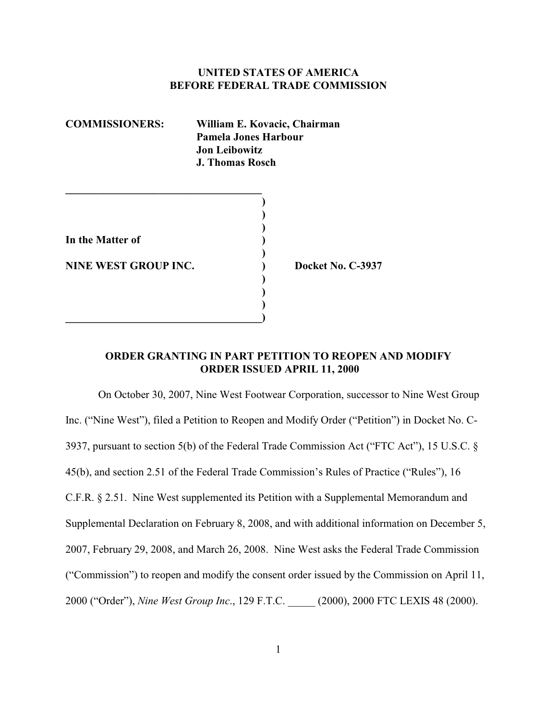## **UNITED STATES OF AMERICA BEFORE FEDERAL TRADE COMMISSION**

| <b>COMMISSIONERS:</b> | William E. Kovacic, Chairman<br>Pamela Jones Harbour<br><b>Jon Leibowitz</b><br><b>J. Thomas Rosch</b> |
|-----------------------|--------------------------------------------------------------------------------------------------------|
| In the Matter of      |                                                                                                        |

**\_\_\_\_\_\_\_\_\_\_\_\_\_\_\_\_\_\_\_\_\_\_\_\_\_\_\_\_\_\_\_\_\_\_\_\_)**

**NINE WEST GROUP INC.** (a) Docket No. C-3937

# **ORDER GRANTING IN PART PETITION TO REOPEN AND MODIFY ORDER ISSUED APRIL 11, 2000**

**)**

**) ) )**

On October 30, 2007, Nine West Footwear Corporation, successor to Nine West Group Inc. ("Nine West"), filed a Petition to Reopen and Modify Order ("Petition") in Docket No. C-3937, pursuant to section 5(b) of the Federal Trade Commission Act ("FTC Act"), 15 U.S.C. § 45(b), and section 2.51 of the Federal Trade Commission's Rules of Practice ("Rules"), 16 C.F.R. § 2.51. Nine West supplemented its Petition with a Supplemental Memorandum and Supplemental Declaration on February 8, 2008, and with additional information on December 5, 2007, February 29, 2008, and March 26, 2008. Nine West asks the Federal Trade Commission ("Commission") to reopen and modify the consent order issued by the Commission on April 11, 2000 ("Order"), *Nine West Group Inc*., 129 F.T.C. \_\_\_\_\_ (2000), 2000 FTC LEXIS 48 (2000).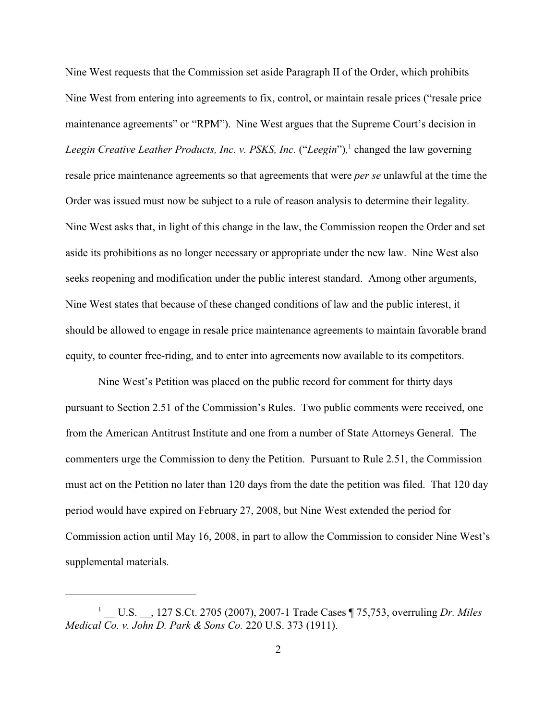Nine West requests that the Commission set aside Paragraph II of the Order, which prohibits Nine West from entering into agreements to fix, control, or maintain resale prices ("resale price maintenance agreements" or "RPM"). Nine West argues that the Supreme Court's decision in *Leegin Creative Leather Products, Inc. v. PSKS, Inc.* ("*Leegin*"),<sup>1</sup> changed the law governing resale price maintenance agreements so that agreements that were *per se* unlawful at the time the Order was issued must now be subject to a rule of reason analysis to determine their legality. Nine West asks that, in light of this change in the law, the Commission reopen the Order and set aside its prohibitions as no longer necessary or appropriate under the new law. Nine West also seeks reopening and modification under the public interest standard. Among other arguments, Nine West states that because of these changed conditions of law and the public interest, it should be allowed to engage in resale price maintenance agreements to maintain favorable brand equity, to counter free-riding, and to enter into agreements now available to its competitors.

Nine West's Petition was placed on the public record for comment for thirty days pursuant to Section 2.51 of the Commission's Rules. Two public comments were received, one from the American Antitrust Institute and one from a number of State Attorneys General. The commenters urge the Commission to deny the Petition. Pursuant to Rule 2.51, the Commission must act on the Petition no later than 120 days from the date the petition was filed. That 120 day period would have expired on February 27, 2008, but Nine West extended the period for Commission action until May 16, 2008, in part to allow the Commission to consider Nine West's supplemental materials.

\_\_ U.S. \_\_, 127 S.Ct. 2705 (2007), 2007-1 Trade Cases ¶ 75,753, overruling *Dr. Miles* <sup>1</sup> *Medical Co. v. John D. Park & Sons Co.* 220 U.S. 373 (1911).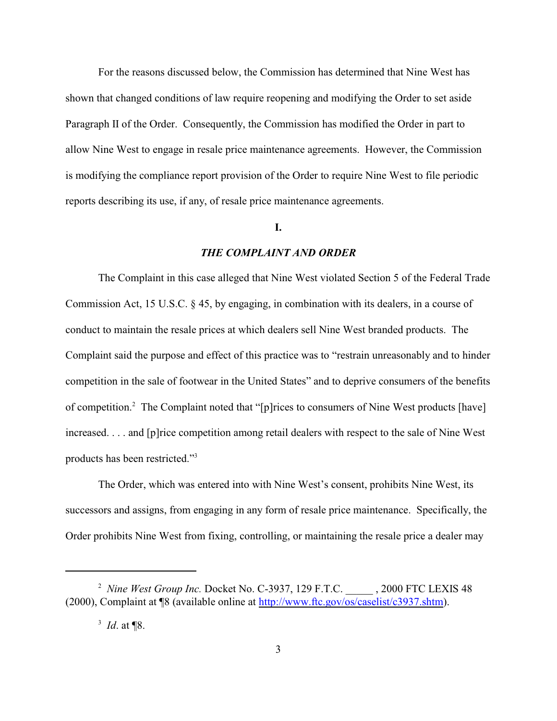For the reasons discussed below, the Commission has determined that Nine West has shown that changed conditions of law require reopening and modifying the Order to set aside Paragraph II of the Order. Consequently, the Commission has modified the Order in part to allow Nine West to engage in resale price maintenance agreements. However, the Commission is modifying the compliance report provision of the Order to require Nine West to file periodic reports describing its use, if any, of resale price maintenance agreements.

# **I.**

## *THE COMPLAINT AND ORDER*

The Complaint in this case alleged that Nine West violated Section 5 of the Federal Trade Commission Act, 15 U.S.C. § 45, by engaging, in combination with its dealers, in a course of conduct to maintain the resale prices at which dealers sell Nine West branded products. The Complaint said the purpose and effect of this practice was to "restrain unreasonably and to hinder competition in the sale of footwear in the United States" and to deprive consumers of the benefits of competition.<sup>2</sup> The Complaint noted that "[p]rices to consumers of Nine West products [have] increased. . . . and [p]rice competition among retail dealers with respect to the sale of Nine West products has been restricted."<sup>3</sup>

The Order, which was entered into with Nine West's consent, prohibits Nine West, its successors and assigns, from engaging in any form of resale price maintenance. Specifically, the Order prohibits Nine West from fixing, controlling, or maintaining the resale price a dealer may

<sup>&</sup>lt;sup>2</sup> Nine West Group Inc. Docket No. C-3937, 129 F.T.C. , 2000 FTC LEXIS 48 (2000), Complaint at ¶8 (available online at http://www.ftc.gov/os/caselist/c3937.shtm).

 $^{3}$  *Id.* at **[8.**]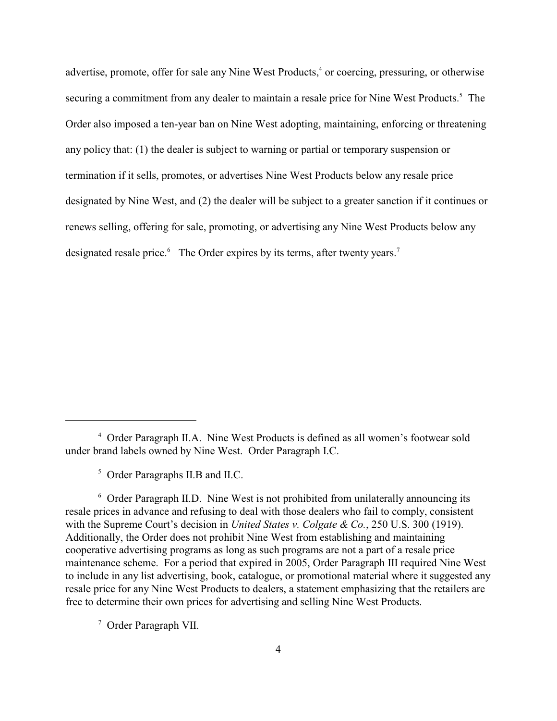advertise, promote, offer for sale any Nine West Products,<sup>4</sup> or coercing, pressuring, or otherwise securing a commitment from any dealer to maintain a resale price for Nine West Products.<sup>5</sup> The Order also imposed a ten-year ban on Nine West adopting, maintaining, enforcing or threatening any policy that: (1) the dealer is subject to warning or partial or temporary suspension or termination if it sells, promotes, or advertises Nine West Products below any resale price designated by Nine West, and (2) the dealer will be subject to a greater sanction if it continues or renews selling, offering for sale, promoting, or advertising any Nine West Products below any designated resale price. The Order expires by its terms, after twenty years.<sup>7</sup>

<sup>7</sup> Order Paragraph VII.

Order Paragraph II.A. Nine West Products is defined as all women's footwear sold <sup>4</sup> under brand labels owned by Nine West. Order Paragraph I.C.

 $5$  Order Paragraphs II.B and II.C.

 $6$  Order Paragraph II.D. Nine West is not prohibited from unilaterally announcing its resale prices in advance and refusing to deal with those dealers who fail to comply, consistent with the Supreme Court's decision in *United States v. Colgate & Co.*, 250 U.S. 300 (1919). Additionally, the Order does not prohibit Nine West from establishing and maintaining cooperative advertising programs as long as such programs are not a part of a resale price maintenance scheme. For a period that expired in 2005, Order Paragraph III required Nine West to include in any list advertising, book, catalogue, or promotional material where it suggested any resale price for any Nine West Products to dealers, a statement emphasizing that the retailers are free to determine their own prices for advertising and selling Nine West Products.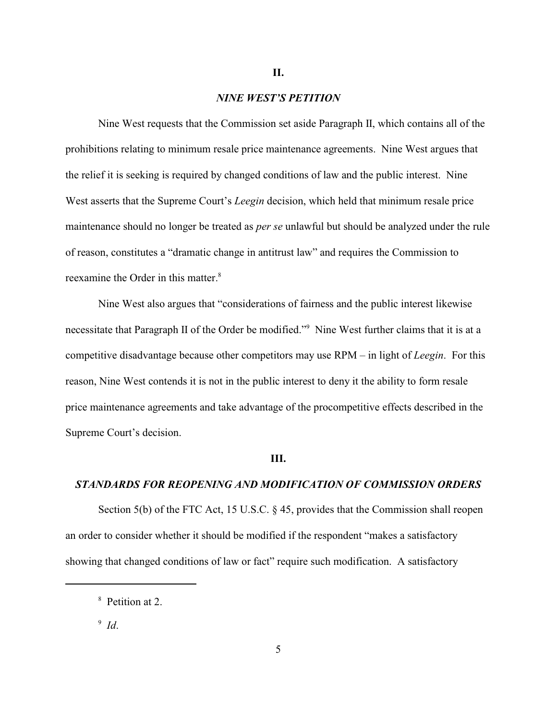## *NINE WEST'S PETITION*

Nine West requests that the Commission set aside Paragraph II, which contains all of the prohibitions relating to minimum resale price maintenance agreements. Nine West argues that the relief it is seeking is required by changed conditions of law and the public interest. Nine West asserts that the Supreme Court's *Leegin* decision, which held that minimum resale price maintenance should no longer be treated as *per se* unlawful but should be analyzed under the rule of reason, constitutes a "dramatic change in antitrust law" and requires the Commission to reexamine the Order in this matter.<sup>8</sup>

Nine West also argues that "considerations of fairness and the public interest likewise necessitate that Paragraph II of the Order be modified."<sup>9</sup> Nine West further claims that it is at a competitive disadvantage because other competitors may use RPM – in light of *Leegin*. For this reason, Nine West contends it is not in the public interest to deny it the ability to form resale price maintenance agreements and take advantage of the procompetitive effects described in the Supreme Court's decision.

### **III.**

#### *STANDARDS FOR REOPENING AND MODIFICATION OF COMMISSION ORDERS*

Section 5(b) of the FTC Act, 15 U.S.C. § 45, provides that the Commission shall reopen an order to consider whether it should be modified if the respondent "makes a satisfactory showing that changed conditions of law or fact" require such modification. A satisfactory

5

<sup>&</sup>lt;sup>8</sup> Petition at 2.

 $9$  Id.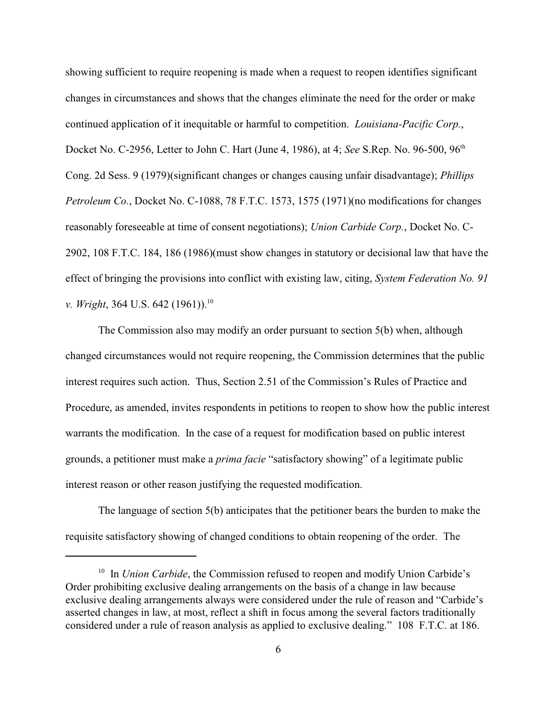showing sufficient to require reopening is made when a request to reopen identifies significant changes in circumstances and shows that the changes eliminate the need for the order or make continued application of it inequitable or harmful to competition. *Louisiana-Pacific Corp.*, Docket No. C-2956, Letter to John C. Hart (June 4, 1986), at 4; *See* S.Rep. No. 96-500, 96th Cong. 2d Sess. 9 (1979)(significant changes or changes causing unfair disadvantage); *Phillips Petroleum Co.*, Docket No. C-1088, 78 F.T.C. 1573, 1575 (1971)(no modifications for changes reasonably foreseeable at time of consent negotiations); *Union Carbide Corp.*, Docket No. C-2902, 108 F.T.C. 184, 186 (1986)(must show changes in statutory or decisional law that have the effect of bringing the provisions into conflict with existing law, citing, *System Federation No. 91 v. Wright*, 364 U.S. 642 (1961)).<sup>10</sup>

The Commission also may modify an order pursuant to section 5(b) when, although changed circumstances would not require reopening, the Commission determines that the public interest requires such action. Thus, Section 2.51 of the Commission's Rules of Practice and Procedure, as amended, invites respondents in petitions to reopen to show how the public interest warrants the modification. In the case of a request for modification based on public interest grounds, a petitioner must make a *prima facie* "satisfactory showing" of a legitimate public interest reason or other reason justifying the requested modification.

The language of section 5(b) anticipates that the petitioner bears the burden to make the requisite satisfactory showing of changed conditions to obtain reopening of the order. The

<sup>&</sup>lt;sup>10</sup> In *Union Carbide*, the Commission refused to reopen and modify Union Carbide's Order prohibiting exclusive dealing arrangements on the basis of a change in law because exclusive dealing arrangements always were considered under the rule of reason and "Carbide's asserted changes in law, at most, reflect a shift in focus among the several factors traditionally considered under a rule of reason analysis as applied to exclusive dealing." 108 F.T.C. at 186.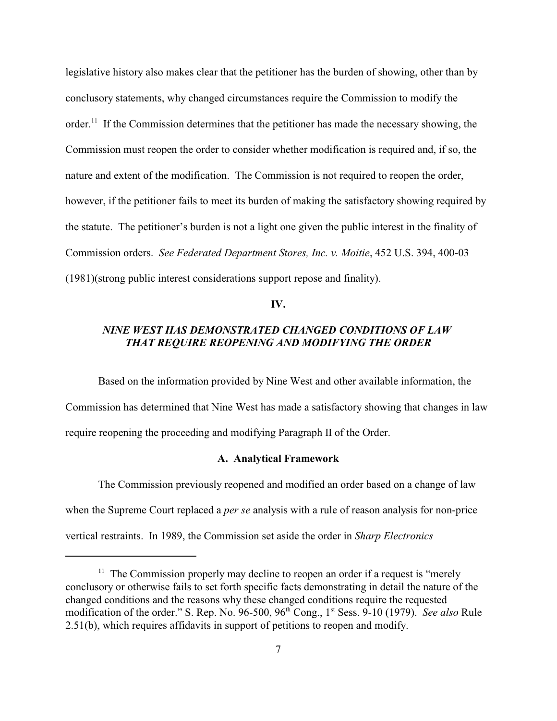legislative history also makes clear that the petitioner has the burden of showing, other than by conclusory statements, why changed circumstances require the Commission to modify the order.<sup>11</sup> If the Commission determines that the petitioner has made the necessary showing, the Commission must reopen the order to consider whether modification is required and, if so, the nature and extent of the modification. The Commission is not required to reopen the order, however, if the petitioner fails to meet its burden of making the satisfactory showing required by the statute. The petitioner's burden is not a light one given the public interest in the finality of Commission orders. *See Federated Department Stores, Inc. v. Moitie*, 452 U.S. 394, 400-03 (1981)(strong public interest considerations support repose and finality).

**IV.**

# *NINE WEST HAS DEMONSTRATED CHANGED CONDITIONS OF LAW THAT REQUIRE REOPENING AND MODIFYING THE ORDER*

Based on the information provided by Nine West and other available information, the Commission has determined that Nine West has made a satisfactory showing that changes in law require reopening the proceeding and modifying Paragraph II of the Order.

## **A. Analytical Framework**

The Commission previously reopened and modified an order based on a change of law when the Supreme Court replaced a *per se* analysis with a rule of reason analysis for non-price vertical restraints. In 1989, the Commission set aside the order in *Sharp Electronics*

 $11$  The Commission properly may decline to reopen an order if a request is "merely" conclusory or otherwise fails to set forth specific facts demonstrating in detail the nature of the changed conditions and the reasons why these changed conditions require the requested modification of the order." S. Rep. No. 96-500, 96<sup>th</sup> Cong., 1<sup>st</sup> Sess. 9-10 (1979). *See also* Rule 2.51(b), which requires affidavits in support of petitions to reopen and modify.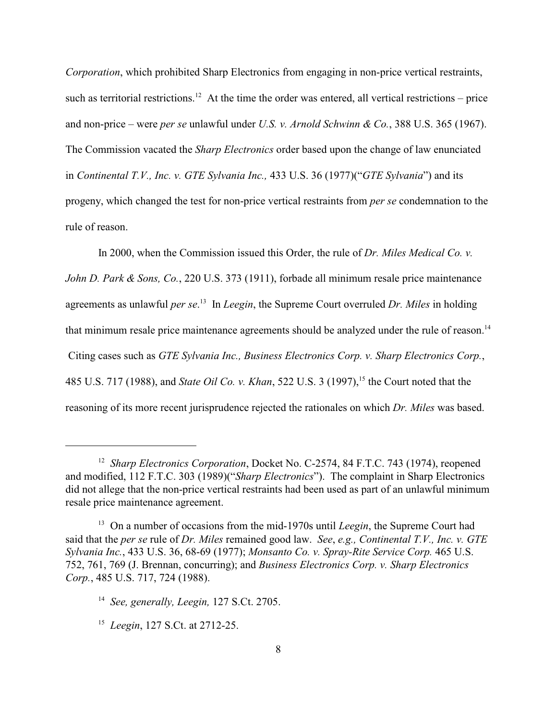*Corporation*, which prohibited Sharp Electronics from engaging in non-price vertical restraints, such as territorial restrictions.<sup>12</sup> At the time the order was entered, all vertical restrictions – price and non-price – were *per se* unlawful under *U.S. v. Arnold Schwinn & Co.*, 388 U.S. 365 (1967). The Commission vacated the *Sharp Electronics* order based upon the change of law enunciated in *Continental T.V., Inc. v. GTE Sylvania Inc.,* 433 U.S. 36 (1977)("*GTE Sylvania*") and its progeny, which changed the test for non-price vertical restraints from *per se* condemnation to the rule of reason.

In 2000, when the Commission issued this Order, the rule of *Dr. Miles Medical Co. v. John D. Park & Sons, Co.*, 220 U.S. 373 (1911), forbade all minimum resale price maintenance agreements as unlawful *per se*.<sup>13</sup> In *Leegin*, the Supreme Court overruled *Dr. Miles* in holding that minimum resale price maintenance agreements should be analyzed under the rule of reason.<sup>14</sup> Citing cases such as *GTE Sylvania Inc., Business Electronics Corp. v. Sharp Electronics Corp.*, 485 U.S. 717 (1988), and *State Oil Co. v. Khan*, 522 U.S. 3 (1997), <sup>15</sup> the Court noted that the reasoning of its more recent jurisprudence rejected the rationales on which *Dr. Miles* was based.

<sup>&</sup>lt;sup>12</sup> Sharp Electronics Corporation, Docket No. C-2574, 84 F.T.C. 743 (1974), reopened and modified, 112 F.T.C. 303 (1989)("*Sharp Electronics*"). The complaint in Sharp Electronics did not allege that the non-price vertical restraints had been used as part of an unlawful minimum resale price maintenance agreement.

<sup>&</sup>lt;sup>13</sup> On a number of occasions from the mid-1970s until *Leegin*, the Supreme Court had said that the *per se* rule of *Dr. Miles* remained good law.*See*, *e.g., Continental T.V., Inc. v. GTE Sylvania Inc.*, 433 U.S. 36, 68-69 (1977); *Monsanto Co. v. Spray-Rite Service Corp.* 465 U.S. 752, 761, 769 (J. Brennan, concurring); and *Business Electronics Corp. v. Sharp Electronics Corp.*, 485 U.S. 717, 724 (1988).

<sup>&</sup>lt;sup>14</sup> See, generally, Leegin, 127 S.Ct. 2705.

<sup>&</sup>lt;sup>15</sup> Leegin, 127 S.Ct. at 2712-25.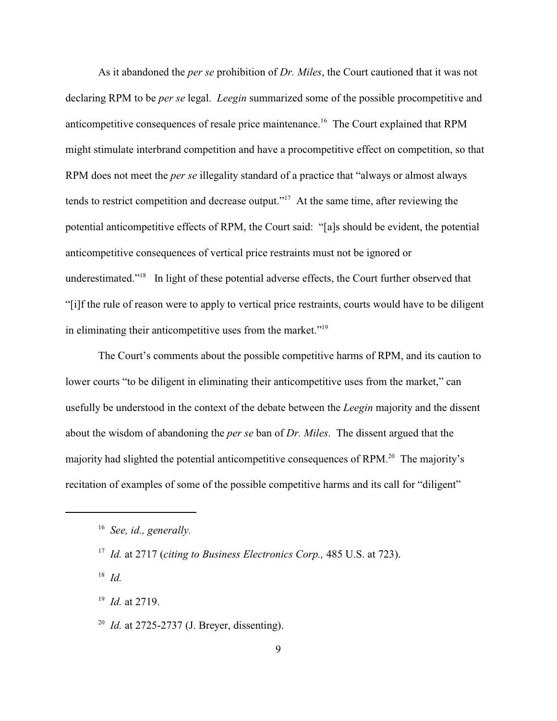As it abandoned the *per se* prohibition of *Dr. Miles*, the Court cautioned that it was not declaring RPM to be *per se* legal. *Leegin* summarized some of the possible procompetitive and anticompetitive consequences of resale price maintenance.<sup>16</sup> The Court explained that RPM might stimulate interbrand competition and have a procompetitive effect on competition, so that RPM does not meet the *per se* illegality standard of a practice that "always or almost always tends to restrict competition and decrease output."<sup>17</sup> At the same time, after reviewing the potential anticompetitive effects of RPM, the Court said: "[a]s should be evident, the potential anticompetitive consequences of vertical price restraints must not be ignored or underestimated."<sup>18</sup> In light of these potential adverse effects, the Court further observed that "[i]f the rule of reason were to apply to vertical price restraints, courts would have to be diligent in eliminating their anticompetitive uses from the market." $19$ 

The Court's comments about the possible competitive harms of RPM, and its caution to lower courts "to be diligent in eliminating their anticompetitive uses from the market," can usefully be understood in the context of the debate between the *Leegin* majority and the dissent about the wisdom of abandoning the *per se* ban of *Dr. Miles*. The dissent argued that the majority had slighted the potential anticompetitive consequences of  $RPM<sup>20</sup>$ . The majority's recitation of examples of some of the possible competitive harms and its call for "diligent"

 $^{18}$  *Id.* 

<sup>19</sup> *Id.* at 2719.

<sup>20</sup> *Id.* at 2725-2737 (J. Breyer, dissenting).

<sup>&</sup>lt;sup>16</sup> See, id., generally.

<sup>&</sup>lt;sup>17</sup> *Id.* at 2717 (*citing to Business Electronics Corp.*, 485 U.S. at 723).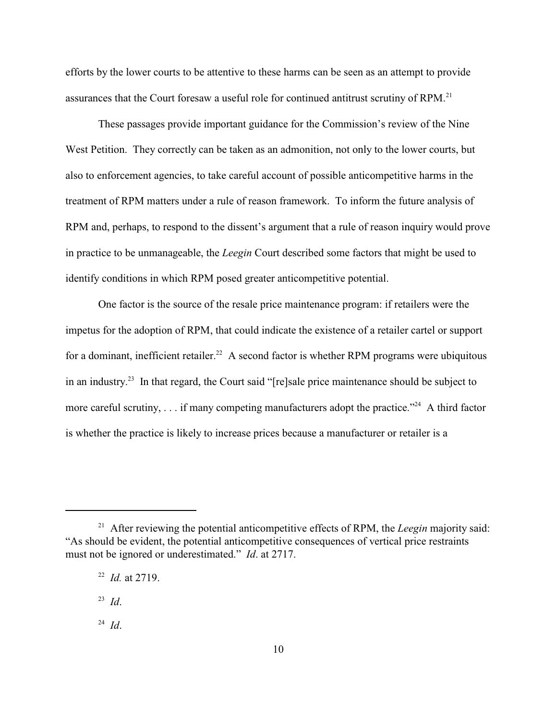efforts by the lower courts to be attentive to these harms can be seen as an attempt to provide assurances that the Court foresaw a useful role for continued antitrust scrutiny of RPM. 21

These passages provide important guidance for the Commission's review of the Nine West Petition. They correctly can be taken as an admonition, not only to the lower courts, but also to enforcement agencies, to take careful account of possible anticompetitive harms in the treatment of RPM matters under a rule of reason framework. To inform the future analysis of RPM and, perhaps, to respond to the dissent's argument that a rule of reason inquiry would prove in practice to be unmanageable, the *Leegin* Court described some factors that might be used to identify conditions in which RPM posed greater anticompetitive potential.

One factor is the source of the resale price maintenance program: if retailers were the impetus for the adoption of RPM, that could indicate the existence of a retailer cartel or support for a dominant, inefficient retailer.<sup>22</sup> A second factor is whether RPM programs were ubiquitous in an industry.<sup>23</sup> In that regard, the Court said "[re]sale price maintenance should be subject to more careful scrutiny, . . . if many competing manufacturers adopt the practice.<sup> $24$ </sup> A third factor is whether the practice is likely to increase prices because a manufacturer or retailer is a

<sup>&</sup>lt;sup>21</sup> After reviewing the potential anticompetitive effects of RPM, the *Leegin* majority said: "As should be evident, the potential anticompetitive consequences of vertical price restraints must not be ignored or underestimated." *Id*. at 2717.

 $^{22}$  *Id.* at 2719.

 $^{23}$  *Id.* 

 $^{24}$  *Id*.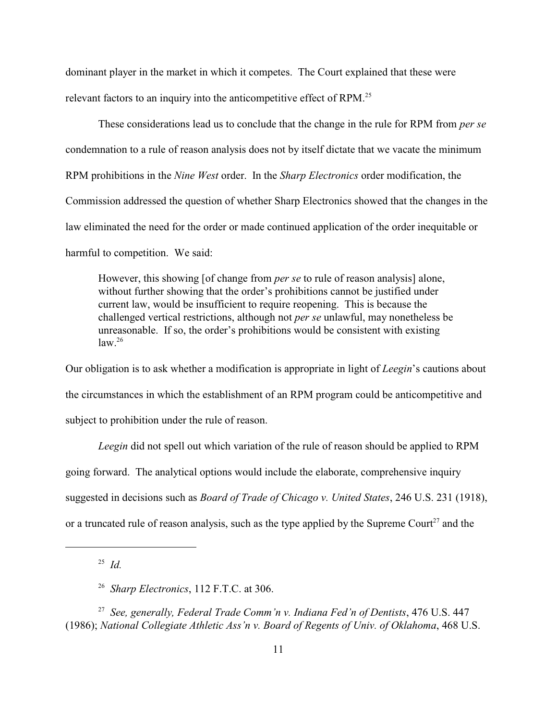dominant player in the market in which it competes. The Court explained that these were relevant factors to an inquiry into the anticompetitive effect of RPM.<sup>25</sup>

These considerations lead us to conclude that the change in the rule for RPM from *per se* condemnation to a rule of reason analysis does not by itself dictate that we vacate the minimum RPM prohibitions in the *Nine West* order. In the *Sharp Electronics* order modification, the Commission addressed the question of whether Sharp Electronics showed that the changes in the law eliminated the need for the order or made continued application of the order inequitable or harmful to competition. We said:

However, this showing [of change from *per se* to rule of reason analysis] alone, without further showing that the order's prohibitions cannot be justified under current law, would be insufficient to require reopening. This is because the challenged vertical restrictions, although not *per se* unlawful, may nonetheless be unreasonable. If so, the order's prohibitions would be consistent with existing  $law.<sup>26</sup>$ 

Our obligation is to ask whether a modification is appropriate in light of *Leegin*'s cautions about the circumstances in which the establishment of an RPM program could be anticompetitive and subject to prohibition under the rule of reason.

*Leegin* did not spell out which variation of the rule of reason should be applied to RPM going forward. The analytical options would include the elaborate, comprehensive inquiry suggested in decisions such as *Board of Trade of Chicago v. United States*, 246 U.S. 231 (1918), or a truncated rule of reason analysis, such as the type applied by the Supreme Court<sup>27</sup> and the

 $^{25}$  *Id.* 

<sup>&</sup>lt;sup>26</sup> *Sharp Electronics*, 112 F.T.C. at 306.

<sup>&</sup>lt;sup>27</sup> See, generally, Federal Trade Comm'n v. Indiana Fed'n of Dentists, 476 U.S. 447 (1986); *National Collegiate Athletic Ass'n v. Board of Regents of Univ. of Oklahoma*, 468 U.S.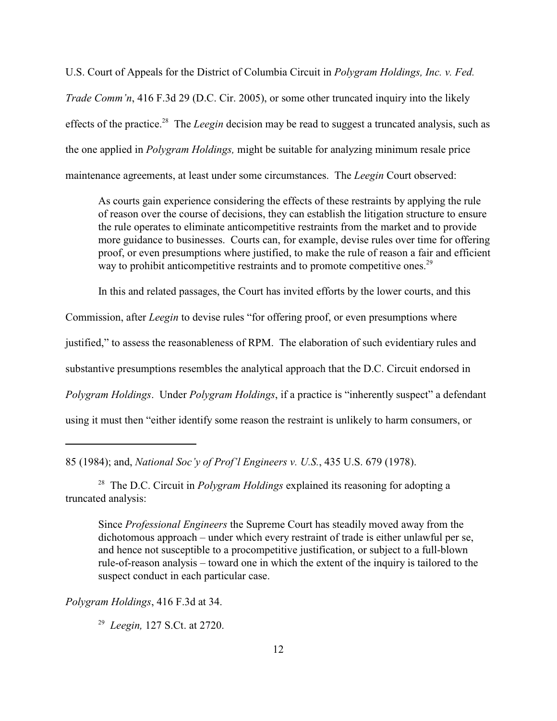U.S. Court of Appeals for the District of Columbia Circuit in *Polygram Holdings, Inc. v. Fed. Trade Comm'n*, 416 F.3d 29 (D.C. Cir. 2005), or some other truncated inquiry into the likely effects of the practice.<sup>28</sup> The *Leegin* decision may be read to suggest a truncated analysis, such as the one applied in *Polygram Holdings,* might be suitable for analyzing minimum resale price maintenance agreements, at least under some circumstances. The *Leegin* Court observed:

As courts gain experience considering the effects of these restraints by applying the rule of reason over the course of decisions, they can establish the litigation structure to ensure the rule operates to eliminate anticompetitive restraints from the market and to provide more guidance to businesses. Courts can, for example, devise rules over time for offering proof, or even presumptions where justified, to make the rule of reason a fair and efficient way to prohibit anticompetitive restraints and to promote competitive ones.<sup>29</sup>

In this and related passages, the Court has invited efforts by the lower courts, and this

Commission, after *Leegin* to devise rules "for offering proof, or even presumptions where

justified," to assess the reasonableness of RPM. The elaboration of such evidentiary rules and

substantive presumptions resembles the analytical approach that the D.C. Circuit endorsed in

*Polygram Holdings*. Under *Polygram Holdings*, if a practice is "inherently suspect" a defendant

using it must then "either identify some reason the restraint is unlikely to harm consumers, or

<sup>28</sup> The D.C. Circuit in *Polygram Holdings* explained its reasoning for adopting a truncated analysis:

Since *Professional Engineers* the Supreme Court has steadily moved away from the dichotomous approach – under which every restraint of trade is either unlawful per se, and hence not susceptible to a procompetitive justification, or subject to a full-blown rule-of-reason analysis – toward one in which the extent of the inquiry is tailored to the suspect conduct in each particular case.

*Polygram Holdings*, 416 F.3d at 34.

<sup>29</sup> Leegin, 127 S.Ct. at 2720.

<sup>85 (1984);</sup> and, *National Soc'y of Prof'l Engineers v. U.S.*, 435 U.S. 679 (1978).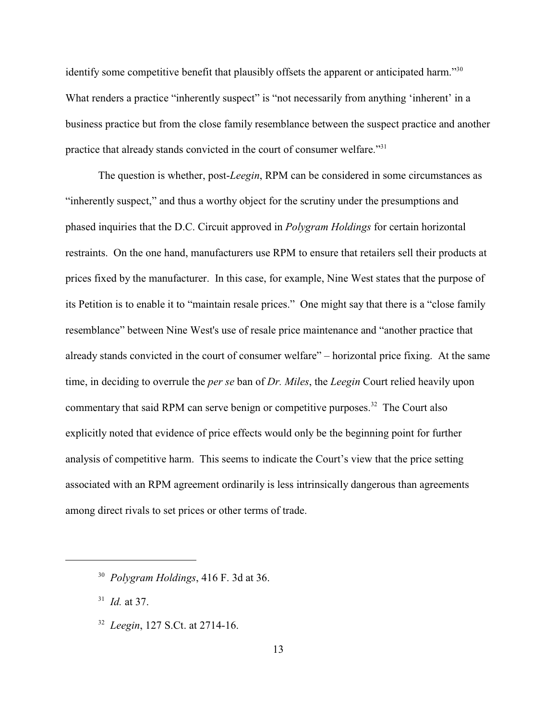identify some competitive benefit that plausibly offsets the apparent or anticipated harm."<sup>30</sup> What renders a practice "inherently suspect" is "not necessarily from anything 'inherent' in a business practice but from the close family resemblance between the suspect practice and another practice that already stands convicted in the court of consumer welfare."<sup>31</sup>

The question is whether, post-*Leegin*, RPM can be considered in some circumstances as "inherently suspect," and thus a worthy object for the scrutiny under the presumptions and phased inquiries that the D.C. Circuit approved in *Polygram Holdings* for certain horizontal restraints. On the one hand, manufacturers use RPM to ensure that retailers sell their products at prices fixed by the manufacturer. In this case, for example, Nine West states that the purpose of its Petition is to enable it to "maintain resale prices." One might say that there is a "close family resemblance" between Nine West's use of resale price maintenance and "another practice that already stands convicted in the court of consumer welfare" – horizontal price fixing. At the same time, in deciding to overrule the *per se* ban of *Dr. Miles*, the *Leegin* Court relied heavily upon commentary that said RPM can serve benign or competitive purposes.<sup>32</sup> The Court also explicitly noted that evidence of price effects would only be the beginning point for further analysis of competitive harm. This seems to indicate the Court's view that the price setting associated with an RPM agreement ordinarily is less intrinsically dangerous than agreements among direct rivals to set prices or other terms of trade.

 $^{31}$  *Id.* at 37.

<sup>&</sup>lt;sup>30</sup> Polygram Holdings, 416 F. 3d at 36.

<sup>&</sup>lt;sup>32</sup> Leegin, 127 S.Ct. at 2714-16.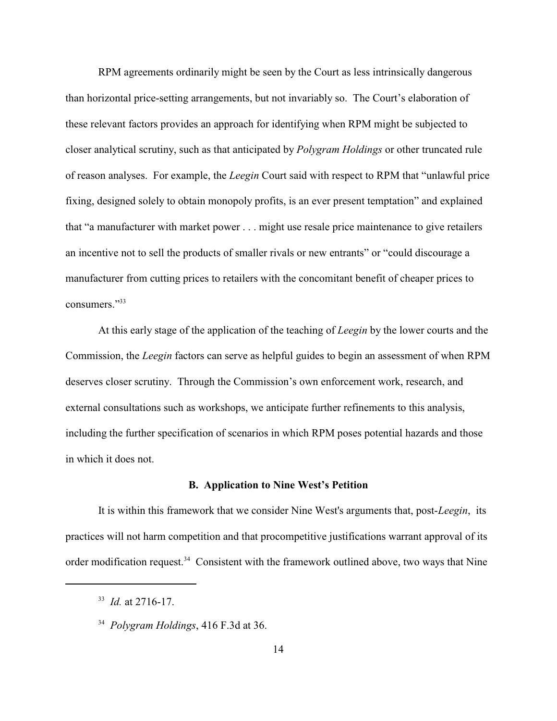RPM agreements ordinarily might be seen by the Court as less intrinsically dangerous than horizontal price-setting arrangements, but not invariably so. The Court's elaboration of these relevant factors provides an approach for identifying when RPM might be subjected to closer analytical scrutiny, such as that anticipated by *Polygram Holdings* or other truncated rule of reason analyses. For example, the *Leegin* Court said with respect to RPM that "unlawful price fixing, designed solely to obtain monopoly profits, is an ever present temptation" and explained that "a manufacturer with market power . . . might use resale price maintenance to give retailers an incentive not to sell the products of smaller rivals or new entrants" or "could discourage a manufacturer from cutting prices to retailers with the concomitant benefit of cheaper prices to consumers."<sup>33</sup>

At this early stage of the application of the teaching of *Leegin* by the lower courts and the Commission, the *Leegin* factors can serve as helpful guides to begin an assessment of when RPM deserves closer scrutiny. Through the Commission's own enforcement work, research, and external consultations such as workshops, we anticipate further refinements to this analysis, including the further specification of scenarios in which RPM poses potential hazards and those in which it does not.

#### **B. Application to Nine West's Petition**

It is within this framework that we consider Nine West's arguments that, post-*Leegin*, its practices will not harm competition and that procompetitive justifications warrant approval of its order modification request.<sup>34</sup> Consistent with the framework outlined above, two ways that Nine

<sup>&</sup>lt;sup>33</sup> *Id.* at 2716-17.

<sup>&</sup>lt;sup>34</sup> Polygram Holdings, 416 F.3d at 36.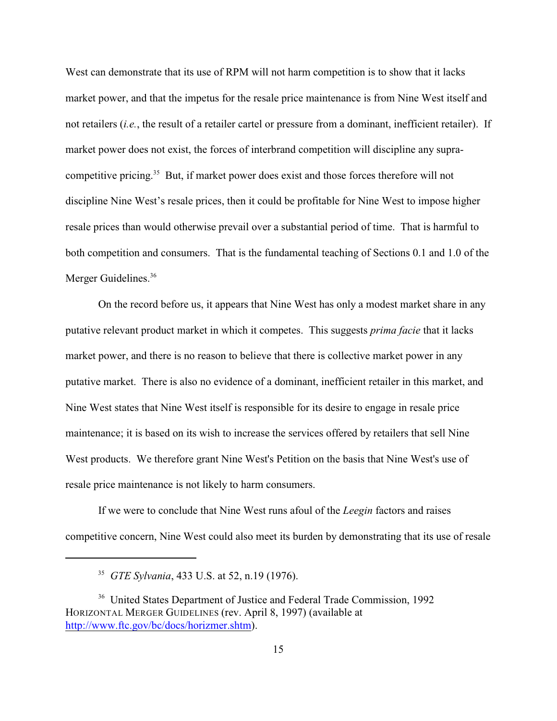West can demonstrate that its use of RPM will not harm competition is to show that it lacks market power, and that the impetus for the resale price maintenance is from Nine West itself and not retailers (*i.e.*, the result of a retailer cartel or pressure from a dominant, inefficient retailer). If market power does not exist, the forces of interbrand competition will discipline any supracompetitive pricing.<sup>35</sup> But, if market power does exist and those forces therefore will not discipline Nine West's resale prices, then it could be profitable for Nine West to impose higher resale prices than would otherwise prevail over a substantial period of time. That is harmful to both competition and consumers. That is the fundamental teaching of Sections 0.1 and 1.0 of the Merger Guidelines.<sup>36</sup>

On the record before us, it appears that Nine West has only a modest market share in any putative relevant product market in which it competes. This suggests *prima facie* that it lacks market power, and there is no reason to believe that there is collective market power in any putative market. There is also no evidence of a dominant, inefficient retailer in this market, and Nine West states that Nine West itself is responsible for its desire to engage in resale price maintenance; it is based on its wish to increase the services offered by retailers that sell Nine West products. We therefore grant Nine West's Petition on the basis that Nine West's use of resale price maintenance is not likely to harm consumers.

If we were to conclude that Nine West runs afoul of the *Leegin* factors and raises competitive concern, Nine West could also meet its burden by demonstrating that its use of resale

<sup>&</sup>lt;sup>35</sup> *GTE Sylvania*, 433 U.S. at 52, n.19 (1976).

<sup>&</sup>lt;sup>36</sup> United States Department of Justice and Federal Trade Commission, 1992 HORIZONTAL MERGER GUIDELINES (rev. April 8, 1997) (available at http://www.ftc.gov/bc/docs/horizmer.shtm).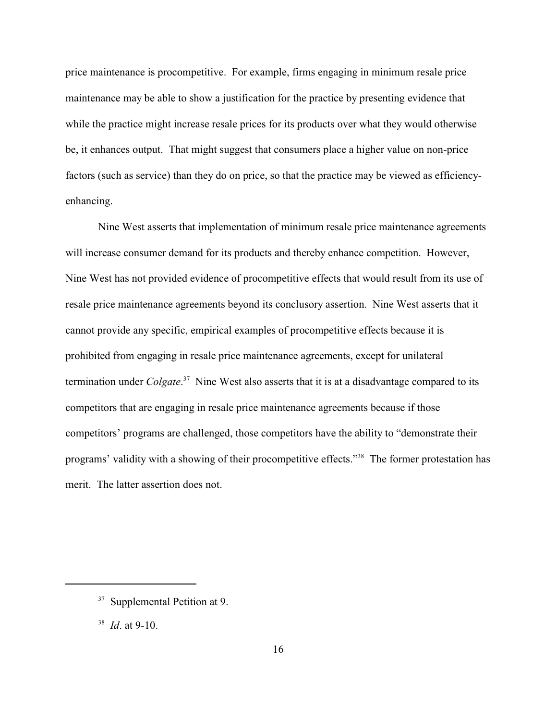price maintenance is procompetitive. For example, firms engaging in minimum resale price maintenance may be able to show a justification for the practice by presenting evidence that while the practice might increase resale prices for its products over what they would otherwise be, it enhances output. That might suggest that consumers place a higher value on non-price factors (such as service) than they do on price, so that the practice may be viewed as efficiencyenhancing.

Nine West asserts that implementation of minimum resale price maintenance agreements will increase consumer demand for its products and thereby enhance competition. However, Nine West has not provided evidence of procompetitive effects that would result from its use of resale price maintenance agreements beyond its conclusory assertion. Nine West asserts that it cannot provide any specific, empirical examples of procompetitive effects because it is prohibited from engaging in resale price maintenance agreements, except for unilateral termination under *Colgate*<sup>37</sup> Nine West also asserts that it is at a disadvantage compared to its competitors that are engaging in resale price maintenance agreements because if those competitors' programs are challenged, those competitors have the ability to "demonstrate their programs' validity with a showing of their procompetitive effects."<sup>38</sup> The former protestation has merit. The latter assertion does not.

<sup>&</sup>lt;sup>37</sup> Supplemental Petition at 9.

 $^{38}$  *Id.* at 9-10.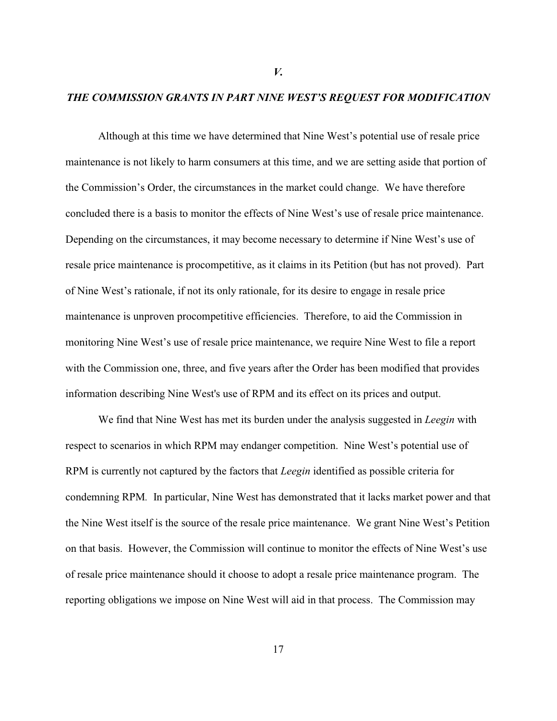## *THE COMMISSION GRANTS IN PART NINE WEST'S REQUEST FOR MODIFICATION*

*V.*

Although at this time we have determined that Nine West's potential use of resale price maintenance is not likely to harm consumers at this time, and we are setting aside that portion of the Commission's Order, the circumstances in the market could change. We have therefore concluded there is a basis to monitor the effects of Nine West's use of resale price maintenance. Depending on the circumstances, it may become necessary to determine if Nine West's use of resale price maintenance is procompetitive, as it claims in its Petition (but has not proved). Part of Nine West's rationale, if not its only rationale, for its desire to engage in resale price maintenance is unproven procompetitive efficiencies. Therefore, to aid the Commission in monitoring Nine West's use of resale price maintenance, we require Nine West to file a report with the Commission one, three, and five years after the Order has been modified that provides information describing Nine West's use of RPM and its effect on its prices and output.

We find that Nine West has met its burden under the analysis suggested in *Leegin* with respect to scenarios in which RPM may endanger competition. Nine West's potential use of RPM is currently not captured by the factors that *Leegin* identified as possible criteria for condemning RPM*.* In particular, Nine West has demonstrated that it lacks market power and that the Nine West itself is the source of the resale price maintenance. We grant Nine West's Petition on that basis. However, the Commission will continue to monitor the effects of Nine West's use of resale price maintenance should it choose to adopt a resale price maintenance program. The reporting obligations we impose on Nine West will aid in that process. The Commission may